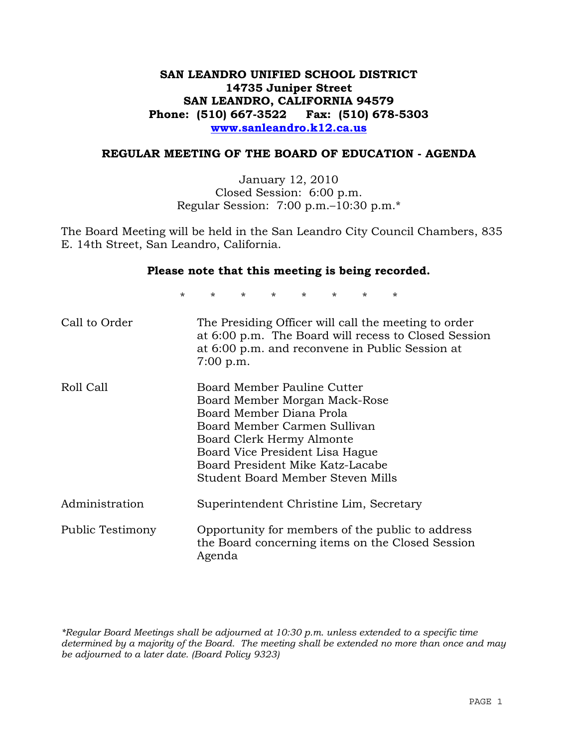# **SAN LEANDRO UNIFIED SCHOOL DISTRICT 14735 Juniper Street SAN LEANDRO, CALIFORNIA 94579 Phone: (510) 667-3522 Fax: (510) 678-5303 www.sanleandro.k12.ca.us**

#### **REGULAR MEETING OF THE BOARD OF EDUCATION - AGENDA**

January 12, 2010 Closed Session: 6:00 p.m. Regular Session: 7:00 p.m.–10:30 p.m.\*

The Board Meeting will be held in the San Leandro City Council Chambers, 835 E. 14th Street, San Leandro, California.

#### **Please note that this meeting is being recorded.**

\* \* \* \* \* \* \* \*

| Call to Order    | The Presiding Officer will call the meeting to order<br>at 6:00 p.m. The Board will recess to Closed Session<br>at 6:00 p.m. and reconvene in Public Session at<br>7:00 p.m.                                                                                      |
|------------------|-------------------------------------------------------------------------------------------------------------------------------------------------------------------------------------------------------------------------------------------------------------------|
| Roll Call        | Board Member Pauline Cutter<br>Board Member Morgan Mack-Rose<br>Board Member Diana Prola<br>Board Member Carmen Sullivan<br>Board Clerk Hermy Almonte<br>Board Vice President Lisa Hague<br>Board President Mike Katz-Lacabe<br>Student Board Member Steven Mills |
| Administration   | Superintendent Christine Lim, Secretary                                                                                                                                                                                                                           |
| Public Testimony | Opportunity for members of the public to address<br>the Board concerning items on the Closed Session<br>Agenda                                                                                                                                                    |

*\*Regular Board Meetings shall be adjourned at 10:30 p.m. unless extended to a specific time determined by a majority of the Board. The meeting shall be extended no more than once and may be adjourned to a later date. (Board Policy 9323)*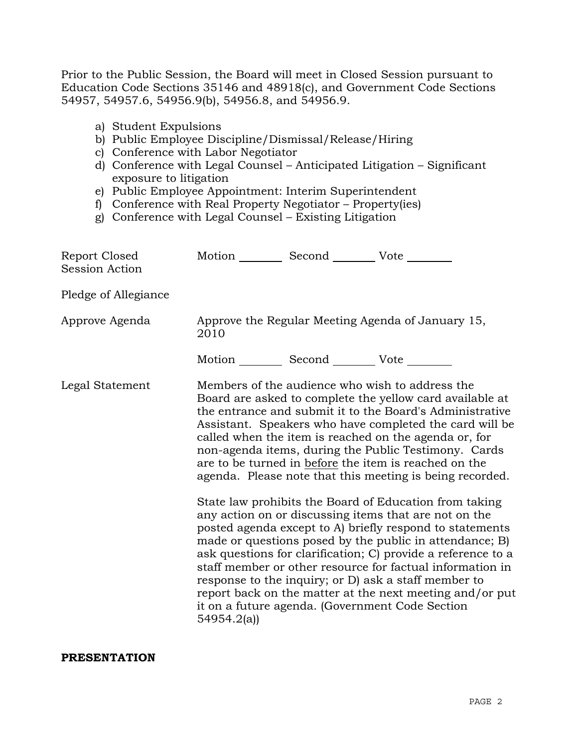Prior to the Public Session, the Board will meet in Closed Session pursuant to Education Code Sections 35146 and 48918(c), and Government Code Sections 54957, 54957.6, 54956.9(b), 54956.8, and 54956.9.

- a) Student Expulsions
- b) Public Employee Discipline/Dismissal/Release/Hiring
- c) Conference with Labor Negotiator
- d) Conference with Legal Counsel Anticipated Litigation Significant exposure to litigation
- e) Public Employee Appointment: Interim Superintendent
- f) Conference with Real Property Negotiator Property(ies)
- g) Conference with Legal Counsel Existing Litigation

| Report Closed<br><b>Session Action</b> | Motion __________ Second __________ Vote ________ |                                                                                                                                                                                                                                                                                                                                                                                                                                                                                                                                                                                                                                                                                                                                                                                                                                                                                                                                                                                                                        |
|----------------------------------------|---------------------------------------------------|------------------------------------------------------------------------------------------------------------------------------------------------------------------------------------------------------------------------------------------------------------------------------------------------------------------------------------------------------------------------------------------------------------------------------------------------------------------------------------------------------------------------------------------------------------------------------------------------------------------------------------------------------------------------------------------------------------------------------------------------------------------------------------------------------------------------------------------------------------------------------------------------------------------------------------------------------------------------------------------------------------------------|
| Pledge of Allegiance                   |                                                   |                                                                                                                                                                                                                                                                                                                                                                                                                                                                                                                                                                                                                                                                                                                                                                                                                                                                                                                                                                                                                        |
| Approve Agenda                         | 2010                                              | Approve the Regular Meeting Agenda of January 15,                                                                                                                                                                                                                                                                                                                                                                                                                                                                                                                                                                                                                                                                                                                                                                                                                                                                                                                                                                      |
|                                        | Motion __________ Second __________ Vote ________ |                                                                                                                                                                                                                                                                                                                                                                                                                                                                                                                                                                                                                                                                                                                                                                                                                                                                                                                                                                                                                        |
| Legal Statement                        | 54954.2(a)                                        | Members of the audience who wish to address the<br>Board are asked to complete the yellow card available at<br>the entrance and submit it to the Board's Administrative<br>Assistant. Speakers who have completed the card will be<br>called when the item is reached on the agenda or, for<br>non-agenda items, during the Public Testimony. Cards<br>are to be turned in before the item is reached on the<br>agenda. Please note that this meeting is being recorded.<br>State law prohibits the Board of Education from taking<br>any action on or discussing items that are not on the<br>posted agenda except to A) briefly respond to statements<br>made or questions posed by the public in attendance; B)<br>ask questions for clarification; C) provide a reference to a<br>staff member or other resource for factual information in<br>response to the inquiry; or D) ask a staff member to<br>report back on the matter at the next meeting and/or put<br>it on a future agenda. (Government Code Section |

#### **PRESENTATION**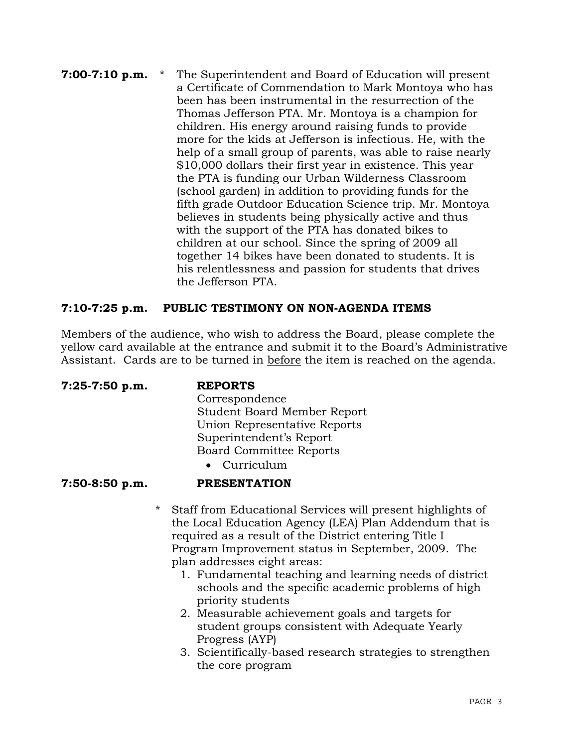## **7:00-7:10 p.m.** \* The Superintendent and Board of Education will present a Certificate of Commendation to Mark Montoya who has been has been instrumental in the resurrection of the Thomas Jefferson PTA. Mr. Montoya is a champion for children. His energy around raising funds to provide more for the kids at Jefferson is infectious. He, with the help of a small group of parents, was able to raise nearly \$10,000 dollars their first year in existence. This year the PTA is funding our Urban Wilderness Classroom (school garden) in addition to providing funds for the fifth grade Outdoor Education Science trip. Mr. Montoya believes in students being physically active and thus with the support of the PTA has donated bikes to children at our school. Since the spring of 2009 all together 14 bikes have been donated to students. It is his relentlessness and passion for students that drives the Jefferson PTA.

# **7:10-7:25 p.m. PUBLIC TESTIMONY ON NON-AGENDA ITEMS**

Members of the audience, who wish to address the Board, please complete the yellow card available at the entrance and submit it to the Board's Administrative Assistant. Cards are to be turned in before the item is reached on the agenda.

**7:25-7:50 p.m. REPORTS**

 Correspondence Student Board Member Report Union Representative Reports Superintendent's Report Board Committee Reports • Curriculum

# **7:50-8:50 p.m. PRESENTATION**

- \* Staff from Educational Services will present highlights of the Local Education Agency (LEA) Plan Addendum that is required as a result of the District entering Title I Program Improvement status in September, 2009. The plan addresses eight areas:
	- 1. Fundamental teaching and learning needs of district schools and the specific academic problems of high priority students
	- 2. Measurable achievement goals and targets for student groups consistent with Adequate Yearly Progress (AYP)
	- 3. Scientifically-based research strategies to strengthen the core program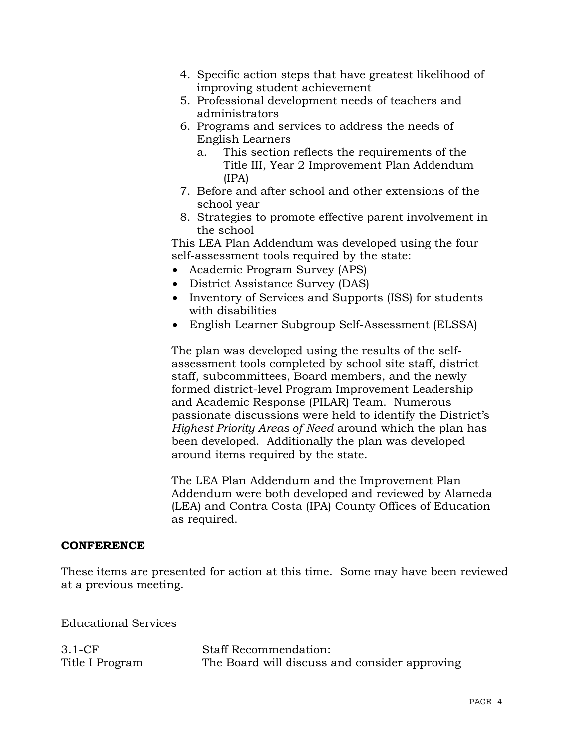- 4. Specific action steps that have greatest likelihood of improving student achievement
- 5. Professional development needs of teachers and administrators
- 6. Programs and services to address the needs of English Learners
	- a. This section reflects the requirements of the Title III, Year 2 Improvement Plan Addendum (IPA)
- 7. Before and after school and other extensions of the school year
- 8. Strategies to promote effective parent involvement in the school

 This LEA Plan Addendum was developed using the four self-assessment tools required by the state:

- Academic Program Survey (APS)
- District Assistance Survey (DAS)
- Inventory of Services and Supports (ISS) for students with disabilities
- English Learner Subgroup Self-Assessment (ELSSA)

The plan was developed using the results of the selfassessment tools completed by school site staff, district staff, subcommittees, Board members, and the newly formed district-level Program Improvement Leadership and Academic Response (PILAR) Team. Numerous passionate discussions were held to identify the District's *Highest Priority Areas of Need* around which the plan has been developed. Additionally the plan was developed around items required by the state.

The LEA Plan Addendum and the Improvement Plan Addendum were both developed and reviewed by Alameda (LEA) and Contra Costa (IPA) County Offices of Education as required.

# **CONFERENCE**

These items are presented for action at this time. Some may have been reviewed at a previous meeting.

Educational Services

3.1-CF Title I Program

Staff Recommendation: The Board will discuss and consider approving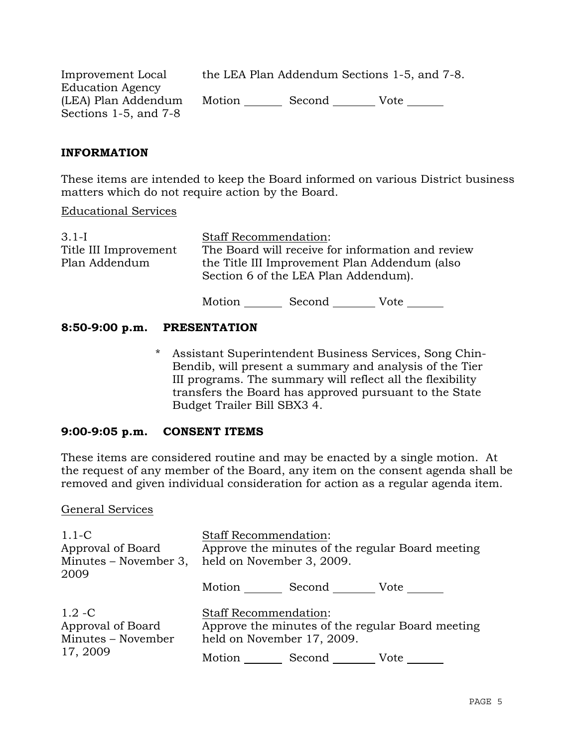| Improvement Local          |        | the LEA Plan Addendum Sections 1-5, and 7-8. |      |
|----------------------------|--------|----------------------------------------------|------|
| <b>Education Agency</b>    |        |                                              |      |
| (LEA) Plan Addendum        | Motion | Second                                       | Vote |
| Sections $1-5$ , and $7-8$ |        |                                              |      |

## **INFORMATION**

These items are intended to keep the Board informed on various District business matters which do not require action by the Board.

Educational Services

| $3.1 - I$             | <b>Staff Recommendation:</b>                      |
|-----------------------|---------------------------------------------------|
| Title III Improvement | The Board will receive for information and review |
| Plan Addendum         | the Title III Improvement Plan Addendum (also     |
|                       | Section 6 of the LEA Plan Addendum).              |

Motion Second Vote

## **8:50-9:00 p.m. PRESENTATION**

\* Assistant Superintendent Business Services, Song Chin-Bendib, will present a summary and analysis of the Tier III programs. The summary will reflect all the flexibility transfers the Board has approved pursuant to the State Budget Trailer Bill SBX3 4.

#### **9:00-9:05 p.m. CONSENT ITEMS**

These items are considered routine and may be enacted by a single motion. At the request of any member of the Board, any item on the consent agenda shall be removed and given individual consideration for action as a regular agenda item.

#### General Services

| $1.1-C$<br>Approval of Board<br>Minutes – November 3,<br>2009    | <b>Staff Recommendation:</b><br>Approve the minutes of the regular Board meeting<br>held on November 3, 2009. |               |                                                  |
|------------------------------------------------------------------|---------------------------------------------------------------------------------------------------------------|---------------|--------------------------------------------------|
|                                                                  | Motion                                                                                                        | Second        | Vote                                             |
| $1.2 - C$<br>Approval of Board<br>Minutes - November<br>17, 2009 | <b>Staff Recommendation:</b><br>held on November 17, 2009.                                                    |               | Approve the minutes of the regular Board meeting |
|                                                                  |                                                                                                               | Motion Second | Vote                                             |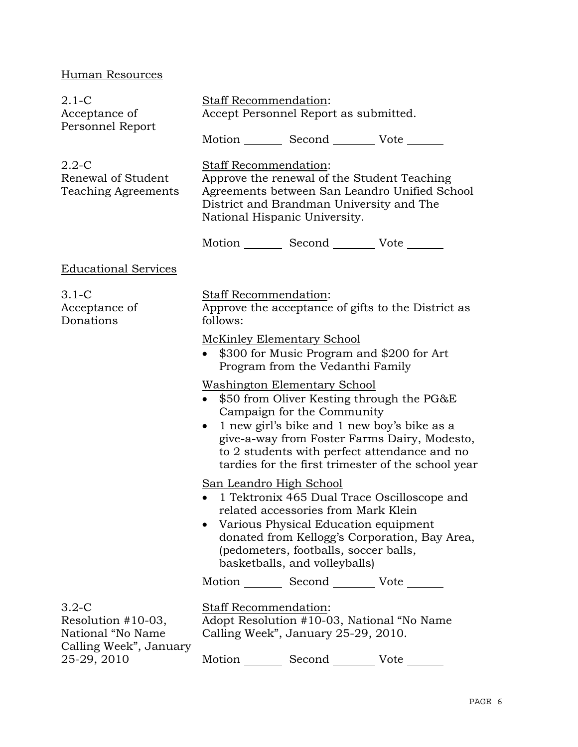# Human Resources

| $2.1-C$<br>Acceptance of<br>Personnel Report                                    | <b>Staff Recommendation:</b><br>Accept Personnel Report as submitted.<br>Motion _________ Second __________ Vote _______                                                                                                                                                                                                         |  |  |
|---------------------------------------------------------------------------------|----------------------------------------------------------------------------------------------------------------------------------------------------------------------------------------------------------------------------------------------------------------------------------------------------------------------------------|--|--|
| $2.2 - C$<br>Renewal of Student<br>Teaching Agreements                          | Staff Recommendation:<br>Approve the renewal of the Student Teaching<br>Agreements between San Leandro Unified School<br>District and Brandman University and The<br>National Hispanic University.                                                                                                                               |  |  |
|                                                                                 | Motion _________ Second __________ Vote _______                                                                                                                                                                                                                                                                                  |  |  |
| <b>Educational Services</b>                                                     |                                                                                                                                                                                                                                                                                                                                  |  |  |
| $3.1-C$<br>Acceptance of<br>Donations                                           | Staff Recommendation:<br>Approve the acceptance of gifts to the District as<br>follows:                                                                                                                                                                                                                                          |  |  |
|                                                                                 | <b>McKinley Elementary School</b><br>\$300 for Music Program and \$200 for Art<br>Program from the Vedanthi Family                                                                                                                                                                                                               |  |  |
|                                                                                 | <u>Washington Elementary School</u><br>\$50 from Oliver Kesting through the PG&E<br>Campaign for the Community<br>1 new girl's bike and 1 new boy's bike as a<br>$\bullet$<br>give-a-way from Foster Farms Dairy, Modesto,<br>to 2 students with perfect attendance and no<br>tardies for the first trimester of the school year |  |  |
|                                                                                 | San Leandro High School<br>1 Tektronix 465 Dual Trace Oscilloscope and<br>related accessories from Mark Klein<br>Various Physical Education equipment<br>donated from Kellogg's Corporation, Bay Area,<br>(pedometers, footballs, soccer balls,<br>basketballs, and volleyballs)                                                 |  |  |
|                                                                                 | Motion _________ Second _________ Vote _______                                                                                                                                                                                                                                                                                   |  |  |
| $3.2-C$<br>Resolution $#10-03$ ,<br>National "No Name<br>Calling Week", January | <b>Staff Recommendation:</b><br>Adopt Resolution #10-03, National "No Name"<br>Calling Week", January 25-29, 2010.                                                                                                                                                                                                               |  |  |
| 25-29, 2010                                                                     | Motion<br>Second<br>Vote                                                                                                                                                                                                                                                                                                         |  |  |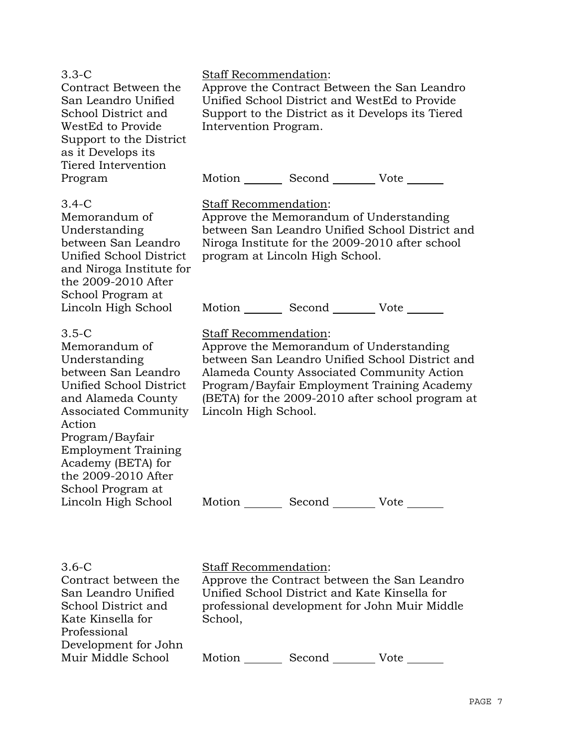| $3.3-C$<br>Contract Between the<br>San Leandro Unified<br>School District and<br>WestEd to Provide<br>Support to the District<br>as it Develops its<br>Tiered Intervention                                                                                                                           | Staff Recommendation:<br>Approve the Contract Between the San Leandro<br>Unified School District and WestEd to Provide<br>Support to the District as it Develops its Tiered<br>Intervention Program.                                                                                                                                            |
|------------------------------------------------------------------------------------------------------------------------------------------------------------------------------------------------------------------------------------------------------------------------------------------------------|-------------------------------------------------------------------------------------------------------------------------------------------------------------------------------------------------------------------------------------------------------------------------------------------------------------------------------------------------|
| Program                                                                                                                                                                                                                                                                                              | Motion _________ Second __________ Vote _______                                                                                                                                                                                                                                                                                                 |
| $3.4-C$<br>Memorandum of<br>Understanding<br>between San Leandro<br>Unified School District<br>and Niroga Institute for<br>the 2009-2010 After<br>School Program at                                                                                                                                  | Staff Recommendation:<br>Approve the Memorandum of Understanding<br>between San Leandro Unified School District and<br>Niroga Institute for the 2009-2010 after school<br>program at Lincoln High School.                                                                                                                                       |
| Lincoln High School                                                                                                                                                                                                                                                                                  | Motion _________ Second __________ Vote _______                                                                                                                                                                                                                                                                                                 |
| $3.5-C$<br>Memorandum of<br>Understanding<br>between San Leandro<br>Unified School District<br>and Alameda County<br><b>Associated Community</b><br>Action<br>Program/Bayfair<br><b>Employment Training</b><br>Academy (BETA) for<br>the 2009-2010 After<br>School Program at<br>Lincoln High School | Staff Recommendation:<br>Approve the Memorandum of Understanding<br>between San Leandro Unified School District and<br>Alameda County Associated Community Action<br>Program/Bayfair Employment Training Academy<br>(BETA) for the 2009-2010 after school program at<br>Lincoln High School.<br>Motion _________ Second __________ Vote _______ |
|                                                                                                                                                                                                                                                                                                      |                                                                                                                                                                                                                                                                                                                                                 |
|                                                                                                                                                                                                                                                                                                      |                                                                                                                                                                                                                                                                                                                                                 |

| $3.6 - C$            |
|----------------------|
| Contract between the |
| San Leandro Unified  |
| School District and  |
| Kate Kinsella for    |
| Professional         |
| Development for John |
| Muir Middle School   |

Staff Recommendation:

Approve the Contract between the San Leandro Unified School District and Kate Kinsella for professional development for John Muir Middle School,

Motion Second Vote \_\_\_\_\_\_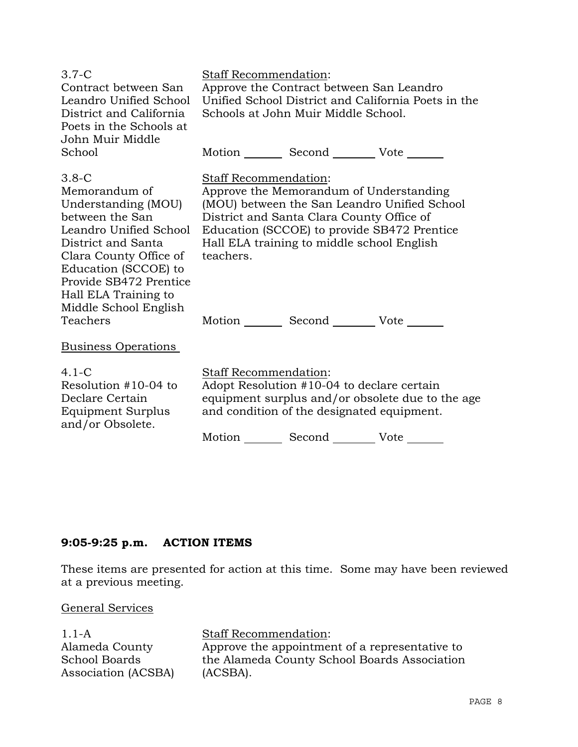| $3.7-C$<br>Contract between San<br>Leandro Unified School<br>District and California<br>Poets in the Schools at<br>John Muir Middle                                                                                                             | <b>Staff Recommendation:</b>              | Approve the Contract between San Leandro<br>Schools at John Muir Middle School.                                                                                                   | Unified School District and California Poets in the |
|-------------------------------------------------------------------------------------------------------------------------------------------------------------------------------------------------------------------------------------------------|-------------------------------------------|-----------------------------------------------------------------------------------------------------------------------------------------------------------------------------------|-----------------------------------------------------|
| School                                                                                                                                                                                                                                          |                                           | Motion _________ Second __________ Vote _______                                                                                                                                   |                                                     |
| $3.8-C$<br>Memorandum of<br>Understanding (MOU)<br>between the San<br>Leandro Unified School<br>District and Santa<br>Clara County Office of<br>Education (SCCOE) to<br>Provide SB472 Prentice<br>Hall ELA Training to<br>Middle School English | <b>Staff Recommendation:</b><br>teachers. | Approve the Memorandum of Understanding<br>District and Santa Clara County Office of<br>Education (SCCOE) to provide SB472 Prentice<br>Hall ELA training to middle school English | (MOU) between the San Leandro Unified School        |
| Teachers                                                                                                                                                                                                                                        |                                           | Motion _________ Second __________ Vote _______                                                                                                                                   |                                                     |
| <b>Business Operations</b>                                                                                                                                                                                                                      |                                           |                                                                                                                                                                                   |                                                     |
| $4.1 - C$<br>Resolution #10-04 to<br>Declare Certain<br>Equipment Surplus<br>and/or Obsolete.                                                                                                                                                   | <b>Staff Recommendation:</b>              | Adopt Resolution #10-04 to declare certain<br>and condition of the designated equipment.<br>Motion _________ Second _________ Vote _______                                        | equipment surplus and/or obsolete due to the age    |

# **9:05-9:25 p.m. ACTION ITEMS**

These items are presented for action at this time. Some may have been reviewed at a previous meeting.

# General Services

| <b>Staff Recommendation:</b>                   |
|------------------------------------------------|
| Approve the appointment of a representative to |
| the Alameda County School Boards Association   |
| (ACSBA).                                       |
|                                                |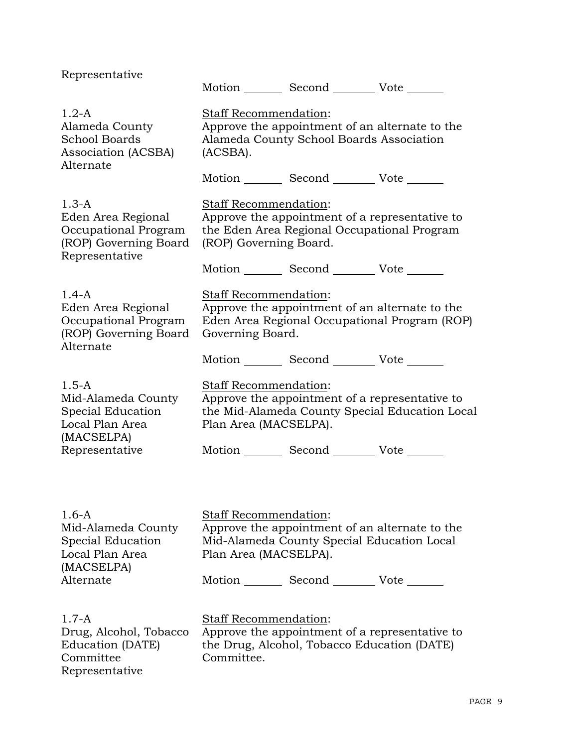| Representative                                                                                   |                                                                                                                                                  | Motion _________ Second _________ Vote _______  |                                                                                                  |  |
|--------------------------------------------------------------------------------------------------|--------------------------------------------------------------------------------------------------------------------------------------------------|-------------------------------------------------|--------------------------------------------------------------------------------------------------|--|
| $1.2-A$<br>Alameda County<br><b>School Boards</b><br>Association (ACSBA)<br>Alternate            | Staff Recommendation:<br>Approve the appointment of an alternate to the<br>Alameda County School Boards Association<br>(ACSBA).                  |                                                 |                                                                                                  |  |
|                                                                                                  |                                                                                                                                                  | Motion _________ Second _________ Vote _______  |                                                                                                  |  |
| $1.3-A$<br>Eden Area Regional<br>Occupational Program<br>(ROP) Governing Board<br>Representative | Staff Recommendation:<br>Approve the appointment of a representative to<br>the Eden Area Regional Occupational Program<br>(ROP) Governing Board. |                                                 |                                                                                                  |  |
|                                                                                                  |                                                                                                                                                  | Motion _________ Second _________ Vote _______  |                                                                                                  |  |
| $1.4-A$<br>Eden Area Regional<br>Occupational Program<br>(ROP) Governing Board<br>Alternate      | Staff Recommendation:<br>Governing Board.                                                                                                        |                                                 | Approve the appointment of an alternate to the<br>Eden Area Regional Occupational Program (ROP)  |  |
|                                                                                                  |                                                                                                                                                  | Motion _________ Second __________ Vote _______ |                                                                                                  |  |
| $1.5 - A$<br>Mid-Alameda County<br>Special Education<br>Local Plan Area<br>(MACSELPA)            | Staff Recommendation:<br>Plan Area (MACSELPA).                                                                                                   |                                                 | Approve the appointment of a representative to<br>the Mid-Alameda County Special Education Local |  |
| Representative                                                                                   |                                                                                                                                                  | Motion _________ Second __________ Vote _______ |                                                                                                  |  |
|                                                                                                  |                                                                                                                                                  |                                                 |                                                                                                  |  |
| $1.6-A$<br>Mid-Alameda County<br>Special Education<br>Local Plan Area<br>(MACSELPA)              | <b>Staff Recommendation:</b><br>Plan Area (MACSELPA).                                                                                            | Mid-Alameda County Special Education Local      | Approve the appointment of an alternate to the                                                   |  |
| Alternate                                                                                        |                                                                                                                                                  | Motion _________ Second _________ Vote _______  |                                                                                                  |  |
| $1.7 - A$<br>Drug, Alcohol, Tobacco<br>Education (DATE)<br>Committee<br>Representative           | Staff Recommendation:<br>Committee.                                                                                                              | the Drug, Alcohol, Tobacco Education (DATE)     | Approve the appointment of a representative to                                                   |  |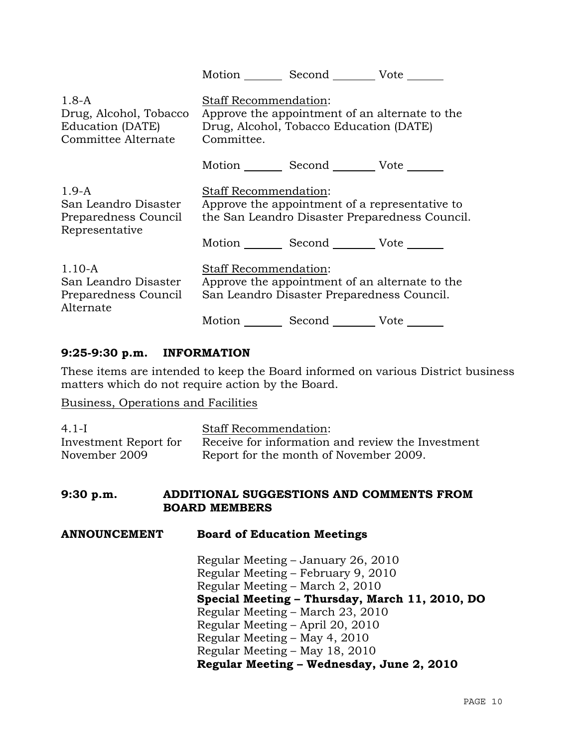|                                                                              | Motion ______ Second _________ Vote _______                                                                                             |
|------------------------------------------------------------------------------|-----------------------------------------------------------------------------------------------------------------------------------------|
| $1.8-A$<br>Drug, Alcohol, Tobacco<br>Education (DATE)<br>Committee Alternate | <b>Staff Recommendation:</b><br>Approve the appointment of an alternate to the<br>Drug, Alcohol, Tobacco Education (DATE)<br>Committee. |
|                                                                              | Motion Second Vote                                                                                                                      |
| $1.9-A$<br>San Leandro Disaster<br>Preparedness Council<br>Representative    | Staff Recommendation:<br>Approve the appointment of a representative to<br>the San Leandro Disaster Preparedness Council.               |
|                                                                              | Motion _________ Second __________ Vote _______                                                                                         |
| $1.10-A$<br>San Leandro Disaster<br>Preparedness Council<br>Alternate        | <b>Staff Recommendation:</b><br>Approve the appointment of an alternate to the<br>San Leandro Disaster Preparedness Council.            |
|                                                                              | Motion                                                                                                                                  |

## **9:25-9:30 p.m. INFORMATION**

These items are intended to keep the Board informed on various District business matters which do not require action by the Board.

Business, Operations and Facilities

| $4.1-I$               | <b>Staff Recommendation:</b>                      |
|-----------------------|---------------------------------------------------|
| Investment Report for | Receive for information and review the Investment |
| November 2009         | Report for the month of November 2009.            |

#### **9:30 p.m. ADDITIONAL SUGGESTIONS AND COMMENTS FROM BOARD MEMBERS**

**ANNOUNCEMENT Board of Education Meetings** 

Regular Meeting – January 26, 2010 Regular Meeting – February 9, 2010 Regular Meeting – March 2, 2010 **Special Meeting – Thursday, March 11, 2010, DO** Regular Meeting – March 23, 2010 Regular Meeting – April 20, 2010 Regular Meeting – May 4, 2010 Regular Meeting – May 18, 2010 **Regular Meeting – Wednesday, June 2, 2010**